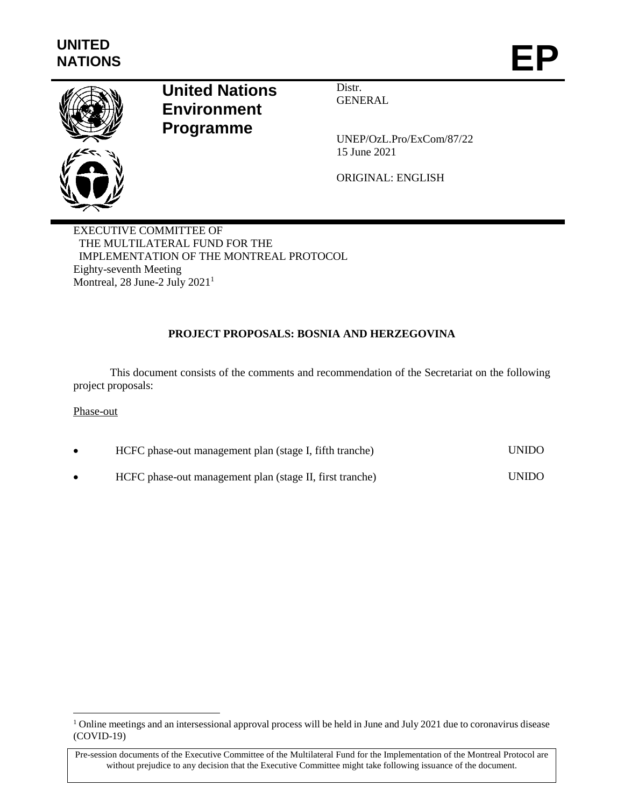

# **United Nations Environment Programme**

Distr. **GENERAL** 

UNEP/OzL.Pro/ExCom/87/22 15 June 2021

ORIGINAL: ENGLISH

EXECUTIVE COMMITTEE OF THE MULTILATERAL FUND FOR THE IMPLEMENTATION OF THE MONTREAL PROTOCOL Eighty-seventh Meeting Montreal, 28 June-2 July 2021<sup>1</sup>

# **PROJECT PROPOSALS: BOSNIA AND HERZEGOVINA**

This document consists of the comments and recommendation of the Secretariat on the following project proposals:

### Phase-out

 $\overline{a}$ 

| HCFC phase-out management plan (stage I, fifth tranche)  | <b>UNIDO</b> |
|----------------------------------------------------------|--------------|
| HCFC phase-out management plan (stage II, first tranche) | <b>UNIDO</b> |

<sup>&</sup>lt;sup>1</sup> Online meetings and an intersessional approval process will be held in June and July 2021 due to coronavirus disease (COVID-19)

Pre-session documents of the Executive Committee of the Multilateral Fund for the Implementation of the Montreal Protocol are without prejudice to any decision that the Executive Committee might take following issuance of the document.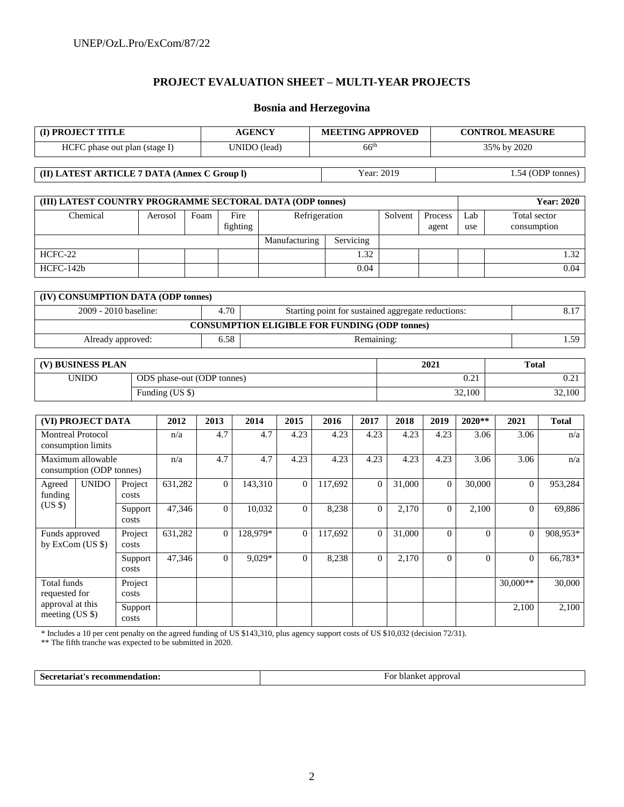# **PROJECT EVALUATION SHEET – MULTI-YEAR PROJECTS**

# **Bosnia and Herzegovina**

| (I) PROJECT TITLE                                          |  |                       |                            |                  | <b>AGENCY</b>       |                                                      |               |                   | <b>MEETING APPROVED</b>                            | <b>CONTROL MEASURE</b> |            |                             |                   |  |
|------------------------------------------------------------|--|-----------------------|----------------------------|------------------|---------------------|------------------------------------------------------|---------------|-------------------|----------------------------------------------------|------------------------|------------|-----------------------------|-------------------|--|
| HCFC phase out plan (stage I)                              |  |                       |                            |                  | <b>UNIDO</b> (lead) |                                                      |               | 66 <sup>th</sup>  |                                                    |                        |            | 35% by 2020                 |                   |  |
| (II) LATEST ARTICLE 7 DATA (Annex C Group I)<br>Year: 2019 |  |                       |                            |                  |                     |                                                      |               | 1.54 (ODP tonnes) |                                                    |                        |            |                             |                   |  |
| (III) LATEST COUNTRY PROGRAMME SECTORAL DATA (ODP tonnes)  |  |                       |                            |                  |                     |                                                      |               |                   |                                                    |                        |            |                             | <b>Year: 2020</b> |  |
| Chemical                                                   |  |                       | Aerosol                    | Foam             | Fire<br>fighting    |                                                      | Refrigeration |                   | Solvent                                            | Process<br>agent       | Lab<br>use | Total sector<br>consumption |                   |  |
|                                                            |  |                       |                            |                  |                     | Manufacturing                                        |               | Servicing         |                                                    |                        |            |                             |                   |  |
| HCFC-22                                                    |  |                       |                            |                  |                     |                                                      |               | 1.32              |                                                    |                        |            |                             | 1.32              |  |
| HCFC-142b                                                  |  |                       |                            |                  |                     |                                                      |               | 0.04              |                                                    |                        |            |                             | 0.04              |  |
|                                                            |  |                       |                            |                  |                     |                                                      |               |                   |                                                    |                        |            |                             |                   |  |
| (IV) CONSUMPTION DATA (ODP tonnes)                         |  |                       |                            |                  |                     |                                                      |               |                   |                                                    |                        |            |                             |                   |  |
|                                                            |  | 2009 - 2010 baseline: |                            | 4.70             |                     |                                                      |               |                   | Starting point for sustained aggregate reductions: |                        |            |                             | 8.17              |  |
|                                                            |  | Already approved:     |                            | 6.58             |                     | <b>CONSUMPTION ELIGIBLE FOR FUNDING (ODP tonnes)</b> |               | Remaining:        |                                                    |                        |            |                             | 1.59              |  |
|                                                            |  |                       |                            |                  |                     |                                                      |               |                   |                                                    |                        |            |                             |                   |  |
| (V) BUSINESS PLAN                                          |  |                       |                            |                  |                     |                                                      |               |                   |                                                    | 2021                   |            | <b>Total</b>                |                   |  |
| <b>UNIDO</b>                                               |  |                       | ODS phase-out (ODP tonnes) |                  |                     |                                                      |               | 0.21              |                                                    |                        | 0.21       |                             |                   |  |
|                                                            |  |                       | Funding (US \$)            |                  |                     |                                                      |               |                   |                                                    |                        | 32,100     |                             | 32,100            |  |
|                                                            |  |                       |                            |                  |                     |                                                      |               |                   |                                                    |                        |            |                             |                   |  |
| (VI) PROJECT DATA                                          |  |                       | 2012                       | 2013             | 2014                | 2015                                                 | 2016          | 2017              | 2018                                               | 2019                   | $2020**$   | 2021                        | <b>Total</b>      |  |
| <b>Montreal Protocol</b><br>consumption limits             |  |                       | n/a                        | 4.7              |                     | 4.23<br>4.7                                          | 4.23          | 4.23              | 4.23                                               | 4.23                   | 3.06       | 3.06                        | n/a               |  |
| Maximum allowable<br>consumption (ODP tonnes)              |  |                       | n/a                        | 4.7              |                     | 4.7<br>4.23                                          | 4.23          | 4.23              | 4.23                                               | 4.23                   | 3.06       | 3.06                        | n/a               |  |
| <b>UNIDO</b><br>Agreed<br>funding                          |  | Project<br>costs      | 631,282                    | $\boldsymbol{0}$ | 143,310             | $\mathbf{0}$                                         | 117,692       |                   | 31,000<br>$\mathbf{0}$                             | $\overline{0}$         | 30,000     | $\theta$                    | 953,284           |  |
| (US \$)                                                    |  | Support<br>costs      | 47,346                     | $\mathbf{0}$     | 10,032              | $\mathbf{0}$                                         | 8,238         |                   | $\mathbf{0}$<br>2,170                              | $\mathbf{0}$           | 2,100      | $\Omega$                    | 69,886            |  |
| Funds approved<br>by ExCom (US \$)                         |  | Project<br>costs      | 631,282                    | $\boldsymbol{0}$ | 128,979*            | $\mathbf{0}$                                         | 117,692       |                   | $\overline{0}$<br>31,000                           | $\mathbf{0}$           | $\Omega$   | $\overline{0}$              | 908,953*          |  |
|                                                            |  | Support<br>costs      | 47,346                     | $\overline{0}$   | 9,029*              | $\overline{0}$                                       | 8,238         |                   | $\overline{0}$<br>2,170                            | $\mathbf{0}$           | $\Omega$   | $\overline{0}$              | 66,783*           |  |
| <b>Total funds</b><br>requested for                        |  | Project<br>costs      |                            |                  |                     |                                                      |               |                   |                                                    |                        |            | 30,000**                    | 30,000            |  |
| approval at this<br>meeting (US \$)                        |  | Support<br>costs      |                            |                  |                     |                                                      |               |                   |                                                    |                        |            | 2,100                       | 2,100             |  |

\* Includes a 10 per cent penalty on the agreed funding of US \$143,310, plus agency support costs of US \$10,032 (decision 72/31).

\*\* The fifth tranche was expected to be submitted in 2020.

Secretariat's recommendation: For blanket approval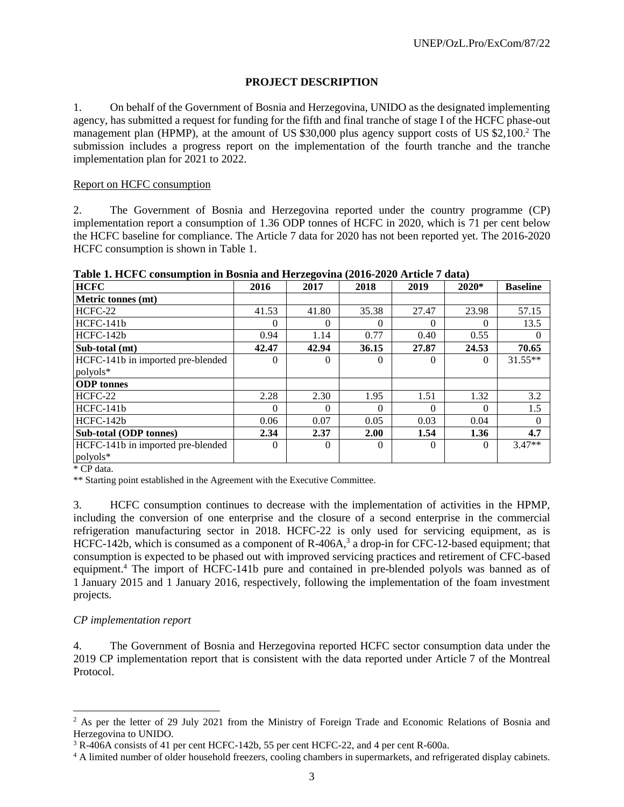# **PROJECT DESCRIPTION**

1. On behalf of the Government of Bosnia and Herzegovina, UNIDO as the designated implementing agency, has submitted a request for funding for the fifth and final tranche of stage I of the HCFC phase-out management plan (HPMP), at the amount of US \$30,000 plus agency support costs of US \$2,100.<sup>2</sup> The submission includes a progress report on the implementation of the fourth tranche and the tranche implementation plan for 2021 to 2022.

### Report on HCFC consumption

2. The Government of Bosnia and Herzegovina reported under the country programme (CP) implementation report a consumption of 1.36 ODP tonnes of HCFC in 2020, which is 71 per cent below the HCFC baseline for compliance. The Article 7 data for 2020 has not been reported yet. The 2016-2020 HCFC consumption is shown in Table 1.

| 2016     | ິ<br>2017 | 2018     | 2019     | 2020*    | <b>Baseline</b> |
|----------|-----------|----------|----------|----------|-----------------|
|          |           |          |          |          |                 |
| 41.53    | 41.80     | 35.38    | 27.47    | 23.98    | 57.15           |
| $^{(1)}$ | $\theta$  | 0        | $\Omega$ | $\Omega$ | 13.5            |
| 0.94     | 1.14      | 0.77     | 0.40     | 0.55     |                 |
| 42.47    | 42.94     | 36.15    | 27.87    | 24.53    | 70.65           |
| $\Omega$ | $\Omega$  | 0        | $\Omega$ | $\Omega$ | $31.55**$       |
|          |           |          |          |          |                 |
|          |           |          |          |          |                 |
| 2.28     | 2.30      | 1.95     | 1.51     | 1.32     | 3.2             |
| $\Omega$ | $\Omega$  | 0        | $\Omega$ | $\Omega$ | 1.5             |
| 0.06     | 0.07      | 0.05     | 0.03     | 0.04     |                 |
| 2.34     | 2.37      | 2.00     | 1.54     | 1.36     | 4.7             |
| $\Omega$ | $\Omega$  | $\Omega$ | $\Omega$ | $\Omega$ | $3.47**$        |
|          |           |          |          |          |                 |
|          |           |          |          |          |                 |

**Table 1. HCFC consumption in Bosnia and Herzegovina (2016-2020 Article 7 data)**

\* CP data.

l

\*\* Starting point established in the Agreement with the Executive Committee.

3. HCFC consumption continues to decrease with the implementation of activities in the HPMP, including the conversion of one enterprise and the closure of a second enterprise in the commercial refrigeration manufacturing sector in 2018. HCFC-22 is only used for servicing equipment, as is HCFC-142b, which is consumed as a component of R-406A,<sup>3</sup> a drop-in for CFC-12-based equipment; that consumption is expected to be phased out with improved servicing practices and retirement of CFC-based equipment.<sup>4</sup> The import of HCFC-141b pure and contained in pre-blended polyols was banned as of 1 January 2015 and 1 January 2016, respectively, following the implementation of the foam investment projects.

### *CP implementation report*

4. The Government of Bosnia and Herzegovina reported HCFC sector consumption data under the 2019 CP implementation report that is consistent with the data reported under Article 7 of the Montreal Protocol.

<sup>&</sup>lt;sup>2</sup> As per the letter of 29 July 2021 from the Ministry of Foreign Trade and Economic Relations of Bosnia and Herzegovina to UNIDO.

<sup>&</sup>lt;sup>3</sup> R-406A consists of 41 per cent HCFC-142b, 55 per cent HCFC-22, and 4 per cent R-600a.

<sup>&</sup>lt;sup>4</sup> A limited number of older household freezers, cooling chambers in supermarkets, and refrigerated display cabinets.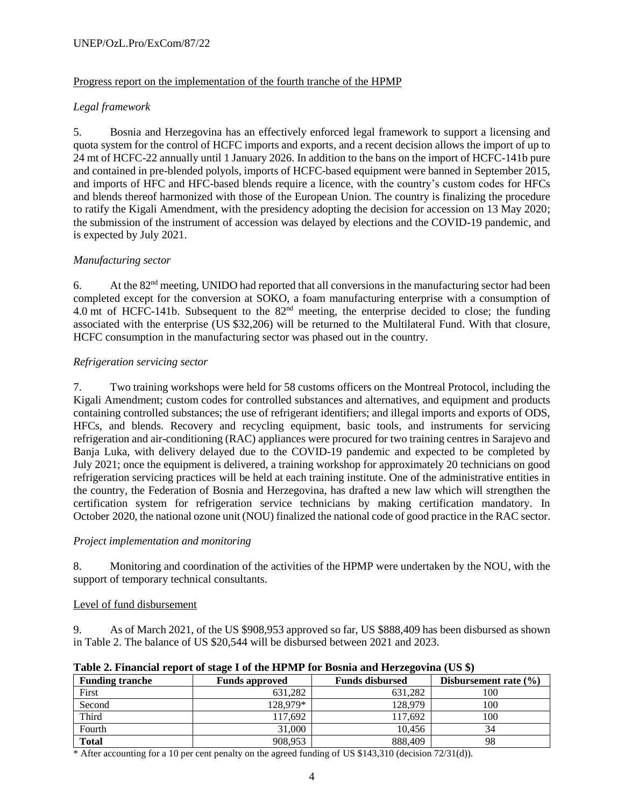### UNEP/OzL.Pro/ExCom/87/22

### Progress report on the implementation of the fourth tranche of the HPMP

# *Legal framework*

5. Bosnia and Herzegovina has an effectively enforced legal framework to support a licensing and quota system for the control of HCFC imports and exports, and a recent decision allows the import of up to 24 mt of HCFC-22 annually until 1 January 2026. In addition to the bans on the import of HCFC-141b pure and contained in pre-blended polyols, imports of HCFC-based equipment were banned in September 2015, and imports of HFC and HFC-based blends require a licence, with the country's custom codes for HFCs and blends thereof harmonized with those of the European Union. The country is finalizing the procedure to ratify the Kigali Amendment, with the presidency adopting the decision for accession on 13 May 2020; the submission of the instrument of accession was delayed by elections and the COVID-19 pandemic, and is expected by July 2021.

# *Manufacturing sector*

6. At the  $82<sup>nd</sup>$  meeting, UNIDO had reported that all conversions in the manufacturing sector had been completed except for the conversion at SOKO, a foam manufacturing enterprise with a consumption of 4.0 mt of HCFC-141b. Subsequent to the 82nd meeting, the enterprise decided to close; the funding associated with the enterprise (US \$32,206) will be returned to the Multilateral Fund. With that closure, HCFC consumption in the manufacturing sector was phased out in the country.

# *Refrigeration servicing sector*

7. Two training workshops were held for 58 customs officers on the Montreal Protocol, including the Kigali Amendment; custom codes for controlled substances and alternatives, and equipment and products containing controlled substances; the use of refrigerant identifiers; and illegal imports and exports of ODS, HFCs, and blends. Recovery and recycling equipment, basic tools, and instruments for servicing refrigeration and air-conditioning (RAC) appliances were procured for two training centres in Sarajevo and Banja Luka, with delivery delayed due to the COVID-19 pandemic and expected to be completed by July 2021; once the equipment is delivered, a training workshop for approximately 20 technicians on good refrigeration servicing practices will be held at each training institute. One of the administrative entities in the country, the Federation of Bosnia and Herzegovina, has drafted a new law which will strengthen the certification system for refrigeration service technicians by making certification mandatory. In October 2020, the national ozone unit (NOU) finalized the national code of good practice in the RAC sector.

### *Project implementation and monitoring*

8. Monitoring and coordination of the activities of the HPMP were undertaken by the NOU, with the support of temporary technical consultants.

### Level of fund disbursement

9. As of March 2021, of the US \$908,953 approved so far, US \$888,409 has been disbursed as shown in Table 2. The balance of US \$20,544 will be disbursed between 2021 and 2023.

| Table 2. Financial report of stage I of the FIF Mr Tor Dosina and Herzegovina (US 3) |                       |                        |                           |  |  |  |  |  |
|--------------------------------------------------------------------------------------|-----------------------|------------------------|---------------------------|--|--|--|--|--|
| <b>Funding tranche</b>                                                               | <b>Funds approved</b> | <b>Funds disbursed</b> | Disbursement rate $(\% )$ |  |  |  |  |  |
| First                                                                                | 631.282               | 631.282                | 100                       |  |  |  |  |  |
| Second                                                                               | 128.979*              | 128,979                | 100                       |  |  |  |  |  |
| Third                                                                                | 117,692               | 117.692                | 100                       |  |  |  |  |  |
| Fourth                                                                               | 31,000                | 10.456                 | 34                        |  |  |  |  |  |
| <b>Total</b>                                                                         | 908.953               | 888.409                | 98                        |  |  |  |  |  |

# **Table 2. Financial report of stage I of the HPMP for Bosnia and Herzegovina (US \$)**

\* After accounting for a 10 per cent penalty on the agreed funding of US \$143,310 (decision 72/31(d)).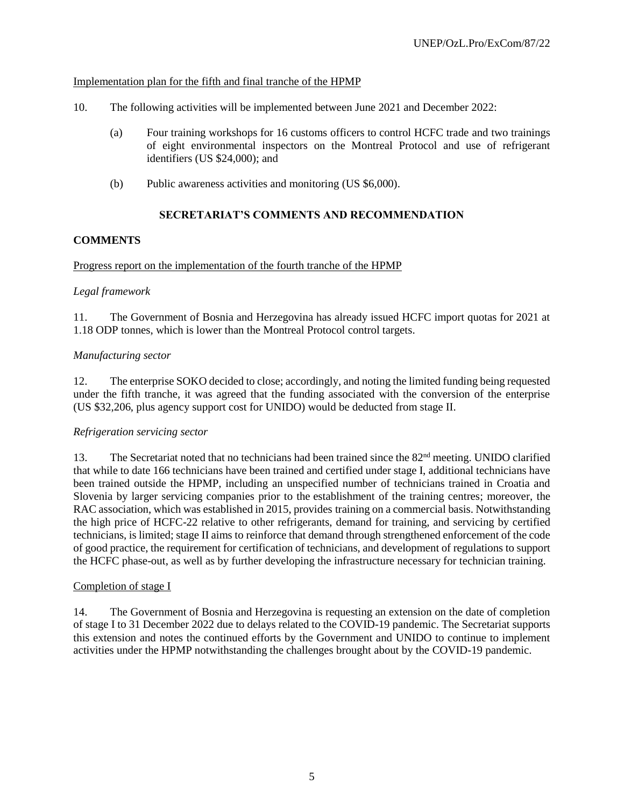### Implementation plan for the fifth and final tranche of the HPMP

- 10. The following activities will be implemented between June 2021 and December 2022:
	- (a) Four training workshops for 16 customs officers to control HCFC trade and two trainings of eight environmental inspectors on the Montreal Protocol and use of refrigerant identifiers (US \$24,000); and
	- (b) Public awareness activities and monitoring (US \$6,000).

# **SECRETARIAT'S COMMENTS AND RECOMMENDATION**

# **COMMENTS**

### Progress report on the implementation of the fourth tranche of the HPMP

# *Legal framework*

11. The Government of Bosnia and Herzegovina has already issued HCFC import quotas for 2021 at 1.18 ODP tonnes, which is lower than the Montreal Protocol control targets.

# *Manufacturing sector*

12. The enterprise SOKO decided to close; accordingly, and noting the limited funding being requested under the fifth tranche, it was agreed that the funding associated with the conversion of the enterprise (US \$32,206, plus agency support cost for UNIDO) would be deducted from stage II.

### *Refrigeration servicing sector*

13. The Secretariat noted that no technicians had been trained since the 82<sup>nd</sup> meeting. UNIDO clarified that while to date 166 technicians have been trained and certified under stage I, additional technicians have been trained outside the HPMP, including an unspecified number of technicians trained in Croatia and Slovenia by larger servicing companies prior to the establishment of the training centres; moreover, the RAC association, which was established in 2015, provides training on a commercial basis. Notwithstanding the high price of HCFC-22 relative to other refrigerants, demand for training, and servicing by certified technicians, is limited; stage II aims to reinforce that demand through strengthened enforcement of the code of good practice, the requirement for certification of technicians, and development of regulations to support the HCFC phase-out, as well as by further developing the infrastructure necessary for technician training.

### Completion of stage I

14. The Government of Bosnia and Herzegovina is requesting an extension on the date of completion of stage I to 31 December 2022 due to delays related to the COVID-19 pandemic. The Secretariat supports this extension and notes the continued efforts by the Government and UNIDO to continue to implement activities under the HPMP notwithstanding the challenges brought about by the COVID-19 pandemic.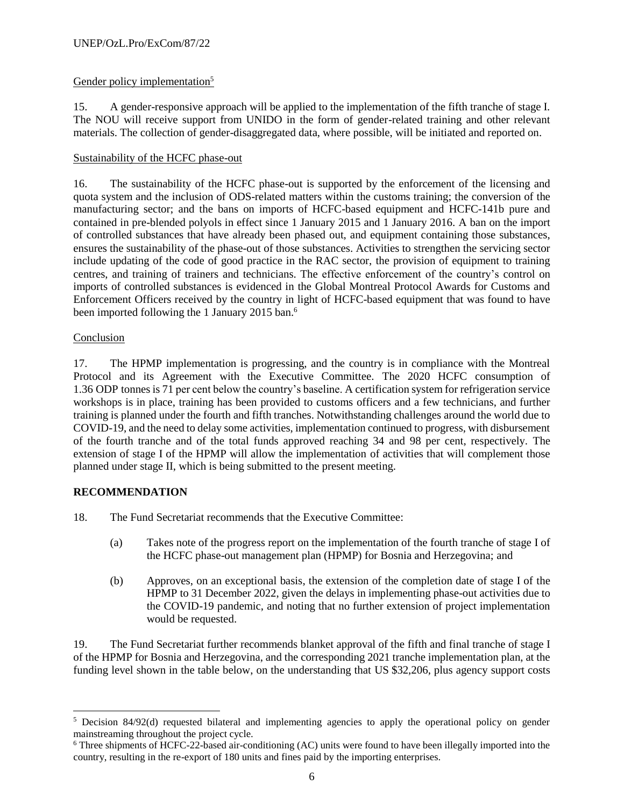# Gender policy implementation<sup>5</sup>

15. A gender-responsive approach will be applied to the implementation of the fifth tranche of stage I. The NOU will receive support from UNIDO in the form of gender-related training and other relevant materials. The collection of gender-disaggregated data, where possible, will be initiated and reported on.

# Sustainability of the HCFC phase-out

16. The sustainability of the HCFC phase-out is supported by the enforcement of the licensing and quota system and the inclusion of ODS-related matters within the customs training; the conversion of the manufacturing sector; and the bans on imports of HCFC-based equipment and HCFC-141b pure and contained in pre-blended polyols in effect since 1 January 2015 and 1 January 2016. A ban on the import of controlled substances that have already been phased out, and equipment containing those substances, ensures the sustainability of the phase-out of those substances. Activities to strengthen the servicing sector include updating of the code of good practice in the RAC sector, the provision of equipment to training centres, and training of trainers and technicians. The effective enforcement of the country's control on imports of controlled substances is evidenced in the Global Montreal Protocol Awards for Customs and Enforcement Officers received by the country in light of HCFC-based equipment that was found to have been imported following the 1 January 2015 ban.<sup>6</sup>

# Conclusion

17. The HPMP implementation is progressing, and the country is in compliance with the Montreal Protocol and its Agreement with the Executive Committee. The 2020 HCFC consumption of 1.36 ODP tonnes is 71 per cent below the country's baseline. A certification system for refrigeration service workshops is in place, training has been provided to customs officers and a few technicians, and further training is planned under the fourth and fifth tranches. Notwithstanding challenges around the world due to COVID-19, and the need to delay some activities, implementation continued to progress, with disbursement of the fourth tranche and of the total funds approved reaching 34 and 98 per cent, respectively. The extension of stage I of the HPMP will allow the implementation of activities that will complement those planned under stage II, which is being submitted to the present meeting.

# **RECOMMENDATION**

- 18. The Fund Secretariat recommends that the Executive Committee:
	- (a) Takes note of the progress report on the implementation of the fourth tranche of stage I of the HCFC phase-out management plan (HPMP) for Bosnia and Herzegovina; and
	- (b) Approves, on an exceptional basis, the extension of the completion date of stage I of the HPMP to 31 December 2022, given the delays in implementing phase-out activities due to the COVID-19 pandemic, and noting that no further extension of project implementation would be requested.

19. The Fund Secretariat further recommends blanket approval of the fifth and final tranche of stage I of the HPMP for Bosnia and Herzegovina, and the corresponding 2021 tranche implementation plan, at the funding level shown in the table below, on the understanding that US \$32,206, plus agency support costs

l <sup>5</sup> Decision 84/92(d) requested bilateral and implementing agencies to apply the operational policy on gender mainstreaming throughout the project cycle.

<sup>6</sup> Three shipments of HCFC-22-based air-conditioning (AC) units were found to have been illegally imported into the country, resulting in the re-export of 180 units and fines paid by the importing enterprises.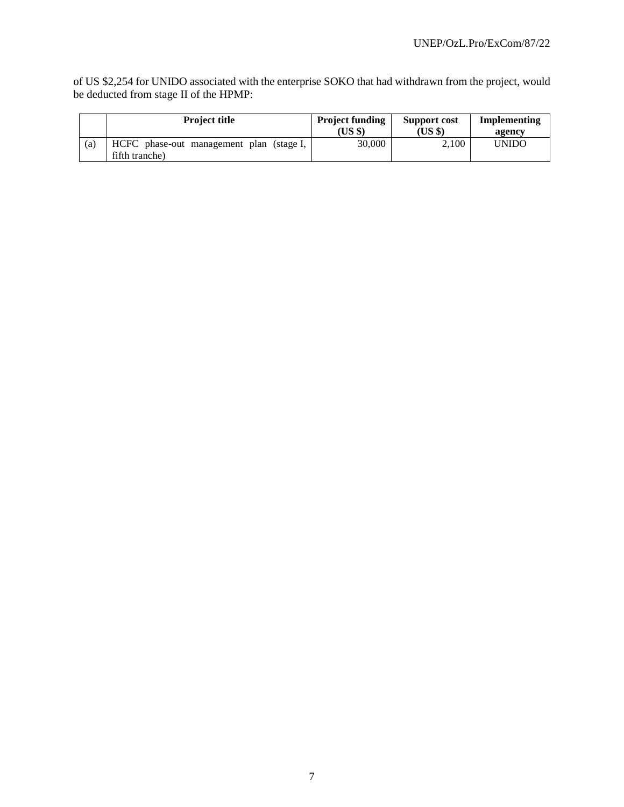of US \$2,254 for UNIDO associated with the enterprise SOKO that had withdrawn from the project, would be deducted from stage II of the HPMP:

|     | <b>Project title</b>                                       | <b>Project funding</b><br>(US \$) | Support cost<br>(US \$) | Implementing<br>agency |
|-----|------------------------------------------------------------|-----------------------------------|-------------------------|------------------------|
| (a) | HCFC phase-out management plan (stage I,<br>fifth tranche) | 30,000                            | 2.100                   | <b>UNIDO</b>           |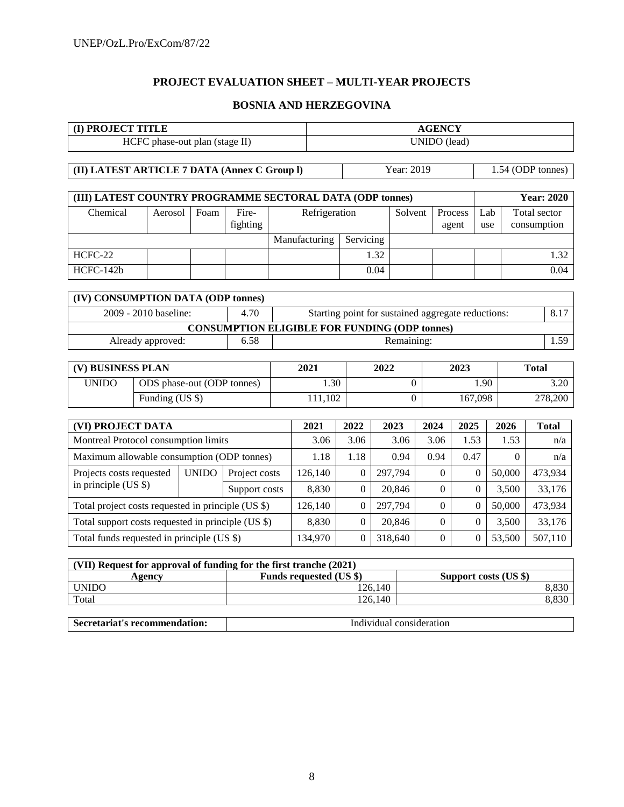# **PROJECT EVALUATION SHEET – MULTI-YEAR PROJECTS**

### **BOSNIA AND HERZEGOVINA**

| (I) PROJECT TITLE                                                  |                                            |                            |                                                      |       | <b>AGENCY</b>           |                                                    |         |                  |                |                       |         |                   |              |                   |
|--------------------------------------------------------------------|--------------------------------------------|----------------------------|------------------------------------------------------|-------|-------------------------|----------------------------------------------------|---------|------------------|----------------|-----------------------|---------|-------------------|--------------|-------------------|
| HCFC phase-out plan (stage II)                                     |                                            |                            |                                                      |       |                         | UNIDO (lead)                                       |         |                  |                |                       |         |                   |              |                   |
|                                                                    |                                            |                            |                                                      |       |                         |                                                    |         |                  |                |                       |         |                   |              |                   |
| (II) LATEST ARTICLE 7 DATA (Annex C Group I)                       |                                            |                            |                                                      |       |                         |                                                    |         | Year: 2019       |                |                       |         | 1.54 (ODP tonnes) |              |                   |
|                                                                    |                                            |                            |                                                      |       |                         |                                                    |         |                  |                |                       |         |                   |              |                   |
| (III) LATEST COUNTRY PROGRAMME SECTORAL DATA (ODP tonnes)          |                                            |                            |                                                      |       |                         |                                                    |         |                  |                |                       |         |                   |              | <b>Year: 2020</b> |
| Chemical                                                           | Aerosol                                    | Foam                       | Fire-                                                |       | Refrigeration           |                                                    |         | Solvent          |                | Process               | Lab     |                   | Total sector |                   |
|                                                                    |                                            |                            | fighting                                             |       |                         |                                                    |         |                  |                | agent                 | use     |                   | consumption  |                   |
|                                                                    |                                            |                            |                                                      |       | Manufacturing           | Servicing                                          |         |                  |                |                       |         |                   |              |                   |
| HCFC-22                                                            |                                            |                            |                                                      |       |                         |                                                    | 1.32    |                  |                |                       |         |                   |              | 1.32              |
| HCFC-142b                                                          |                                            |                            |                                                      |       |                         |                                                    | 0.04    |                  |                |                       |         |                   |              | 0.04              |
|                                                                    |                                            |                            |                                                      |       |                         |                                                    |         |                  |                |                       |         |                   |              |                   |
| (IV) CONSUMPTION DATA (ODP tonnes)                                 |                                            |                            |                                                      |       |                         |                                                    |         |                  |                |                       |         |                   |              |                   |
|                                                                    | 2009 - 2010 baseline:                      |                            | 4.70                                                 |       |                         | Starting point for sustained aggregate reductions: |         |                  |                |                       |         |                   |              | 8.17              |
|                                                                    |                                            |                            | <b>CONSUMPTION ELIGIBLE FOR FUNDING (ODP tonnes)</b> |       |                         |                                                    |         |                  |                |                       |         |                   |              |                   |
|                                                                    | Already approved:                          |                            | 6.58                                                 |       | 1.59<br>Remaining:      |                                                    |         |                  |                |                       |         |                   |              |                   |
|                                                                    |                                            |                            |                                                      |       |                         |                                                    |         |                  |                | 2023                  |         |                   |              |                   |
| (V) BUSINESS PLAN                                                  |                                            |                            |                                                      |       | 2021                    |                                                    | 2022    |                  |                |                       |         | <b>Total</b>      |              |                   |
| <b>UNIDO</b>                                                       |                                            | ODS phase-out (ODP tonnes) |                                                      |       | 1.30                    |                                                    |         | $\boldsymbol{0}$ |                |                       | 1.90    |                   | 3.20         |                   |
|                                                                    | Funding $(US \$                            |                            |                                                      |       | 111,102                 |                                                    |         | $\Omega$         |                | 167,098               | 278,200 |                   |              |                   |
|                                                                    |                                            |                            |                                                      |       |                         |                                                    |         |                  |                |                       |         |                   |              |                   |
| (VI) PROJECT DATA                                                  |                                            |                            |                                                      |       | 2021                    | 2022                                               |         | 2023             | 2024           | 2025                  |         | 2026              |              | <b>Total</b>      |
| Montreal Protocol consumption limits                               |                                            |                            |                                                      |       | 3.06                    | 3.06                                               |         | 3.06             | 3.06           | 1.53                  |         | 1.53              |              | n/a               |
| Maximum allowable consumption (ODP tonnes)                         |                                            |                            |                                                      |       | 1.18                    | 1.18                                               |         | 0.94             | 0.94           | 0.47                  |         | $\Omega$          |              | n/a               |
| Projects costs requested                                           |                                            | <b>UNIDO</b>               | Project costs                                        |       | 126,140                 | $\overline{0}$                                     |         | 297,794          | $\overline{0}$ | $\mathbf{0}$          |         | 50,000            |              | 473,934           |
| in principle (US \$)                                               |                                            |                            | Support costs                                        |       | 8,830                   | $\Omega$                                           |         | 20,846           | $\Omega$       | $\Omega$              |         | 3,500             |              | 33,176            |
| Total project costs requested in principle (US \$)                 |                                            |                            |                                                      |       | 126,140                 | $\overline{0}$                                     |         | 297,794          | $\overline{0}$ | $\mathbf{0}$          |         | 50,000            |              | 473,934           |
| Total support costs requested in principle (US \$)                 |                                            |                            |                                                      | 8,830 | $\mathbf{0}$            |                                                    | 20,846  | $\Omega$         | $\overline{0}$ |                       | 3,500   |                   | 33,176       |                   |
|                                                                    | Total funds requested in principle (US \$) |                            |                                                      |       | 134,970                 | $\Omega$                                           |         | 318,640          | $\Omega$       | $\mathbf{0}$          |         | 53,500            |              | 507,110           |
|                                                                    |                                            |                            |                                                      |       |                         |                                                    |         |                  |                |                       |         |                   |              |                   |
| (VII) Request for approval of funding for the first tranche (2021) |                                            |                            |                                                      |       | Funds requested (US \$) |                                                    |         |                  |                | Support costs (US \$) |         |                   |              |                   |
| <b>UNIDO</b>                                                       | <b>Agency</b>                              |                            |                                                      |       |                         |                                                    | 126,140 |                  |                |                       |         |                   |              | 8,830             |
| Total                                                              |                                            |                            |                                                      |       |                         |                                                    | 126,140 |                  |                |                       |         |                   |              | 8,830             |

| Secretariat's recommendation: | Individual consideration |
|-------------------------------|--------------------------|
|-------------------------------|--------------------------|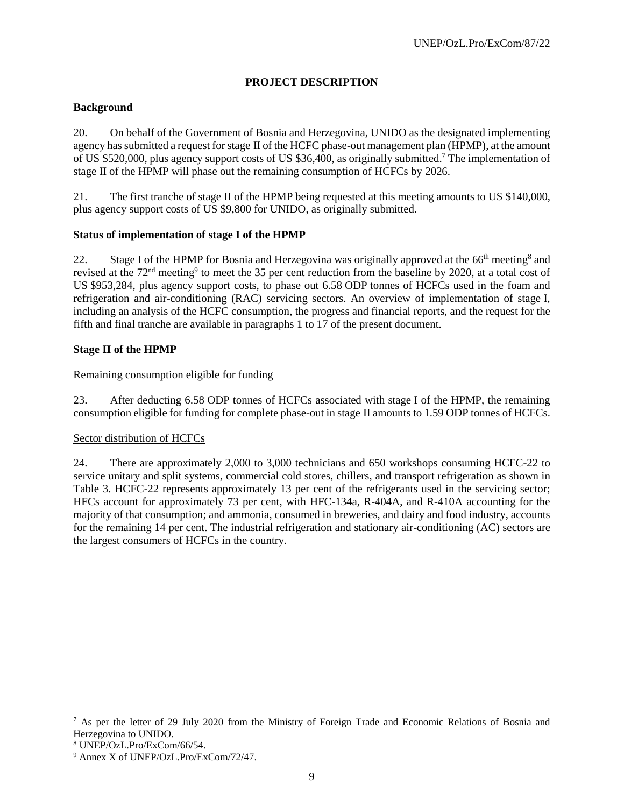# **PROJECT DESCRIPTION**

# **Background**

20. On behalf of the Government of Bosnia and Herzegovina, UNIDO as the designated implementing agency has submitted a request for stage II of the HCFC phase-out management plan (HPMP), at the amount of US \$520,000, plus agency support costs of US \$36,400, as originally submitted.<sup>7</sup> The implementation of stage II of the HPMP will phase out the remaining consumption of HCFCs by 2026.

21. The first tranche of stage II of the HPMP being requested at this meeting amounts to US \$140,000, plus agency support costs of US \$9,800 for UNIDO, as originally submitted.

# **Status of implementation of stage I of the HPMP**

22. Stage I of the HPMP for Bosnia and Herzegovina was originally approved at the 66<sup>th</sup> meeting<sup>8</sup> and revised at the 72<sup>nd</sup> meeting<sup>9</sup> to meet the 35 per cent reduction from the baseline by 2020, at a total cost of US \$953,284, plus agency support costs, to phase out 6.58 ODP tonnes of HCFCs used in the foam and refrigeration and air-conditioning (RAC) servicing sectors. An overview of implementation of stage I, including an analysis of the HCFC consumption, the progress and financial reports, and the request for the fifth and final tranche are available in paragraphs 1 to 17 of the present document.

# **Stage II of the HPMP**

# Remaining consumption eligible for funding

23. After deducting 6.58 ODP tonnes of HCFCs associated with stage I of the HPMP, the remaining consumption eligible for funding for complete phase-out in stage II amounts to 1.59 ODP tonnes of HCFCs.

### Sector distribution of HCFCs

24. There are approximately 2,000 to 3,000 technicians and 650 workshops consuming HCFC-22 to service unitary and split systems, commercial cold stores, chillers, and transport refrigeration as shown in Table 3. HCFC-22 represents approximately 13 per cent of the refrigerants used in the servicing sector; HFCs account for approximately 73 per cent, with HFC-134a, R-404A, and R-410A accounting for the majority of that consumption; and ammonia, consumed in breweries, and dairy and food industry, accounts for the remaining 14 per cent. The industrial refrigeration and stationary air-conditioning (AC) sectors are the largest consumers of HCFCs in the country.

l

<sup>&</sup>lt;sup>7</sup> As per the letter of 29 July 2020 from the Ministry of Foreign Trade and Economic Relations of Bosnia and Herzegovina to UNIDO.

<sup>8</sup> UNEP/OzL.Pro/ExCom/66/54.

<sup>9</sup> Annex X of UNEP/OzL.Pro/ExCom/72/47.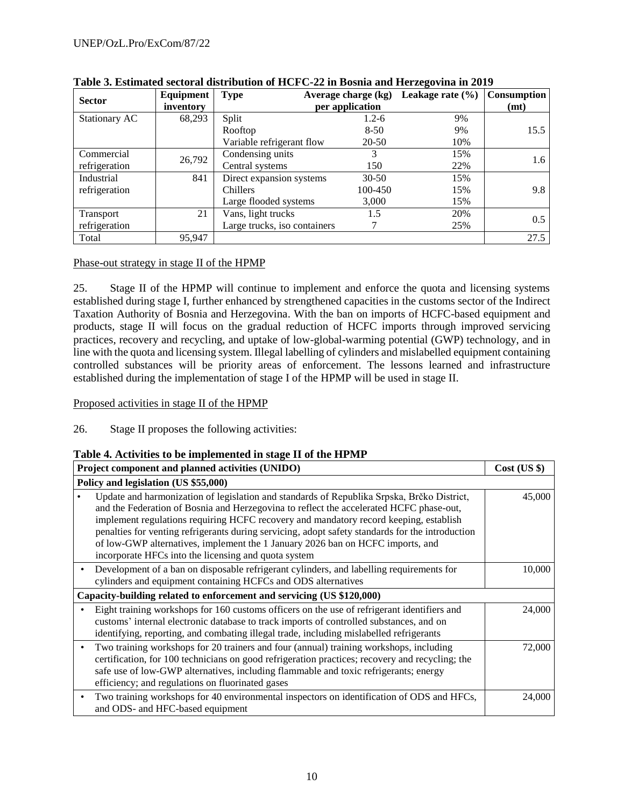| Equipment<br><b>Sector</b> |           | Average charge (kg)<br><b>Type</b> | Consumption     |     |      |
|----------------------------|-----------|------------------------------------|-----------------|-----|------|
|                            | inventory |                                    | per application |     | (mt) |
| Stationary AC              | 68,293    | Split                              | $1.2 - 6$       | 9%  |      |
|                            |           | Rooftop                            | $8 - 50$        | 9%  | 15.5 |
|                            |           | Variable refrigerant flow          | $20 - 50$       | 10% |      |
| Commercial                 | 26,792    | Condensing units                   |                 | 15% |      |
| refrigeration              |           | Central systems                    | 150             | 22% | 1.6  |
| Industrial                 | 841       | Direct expansion systems           | $30-50$         | 15% |      |
| refrigeration              |           | Chillers                           | 100-450         | 15% | 9.8  |
|                            |           | Large flooded systems              | 3,000           | 15% |      |
| Transport                  | 21        | Vans, light trucks                 | 1.5             | 20% |      |
| refrigeration              |           | Large trucks, iso containers       |                 | 25% | 0.5  |
| Total                      | 95,947    |                                    |                 |     | 27.5 |

# **Table 3. Estimated sectoral distribution of HCFC-22 in Bosnia and Herzegovina in 2019**

# Phase-out strategy in stage II of the HPMP

25. Stage II of the HPMP will continue to implement and enforce the quota and licensing systems established during stage I, further enhanced by strengthened capacities in the customs sector of the Indirect Taxation Authority of Bosnia and Herzegovina. With the ban on imports of HCFC-based equipment and products, stage II will focus on the gradual reduction of HCFC imports through improved servicing practices, recovery and recycling, and uptake of low-global-warming potential (GWP) technology, and in line with the quota and licensing system. Illegal labelling of cylinders and mislabelled equipment containing controlled substances will be priority areas of enforcement. The lessons learned and infrastructure established during the implementation of stage I of the HPMP will be used in stage II.

# Proposed activities in stage II of the HPMP

26. Stage II proposes the following activities:

# **Table 4. Activities to be implemented in stage II of the HPMP**

| Project component and planned activities (UNIDO)                                                                                                                                                                                                                                                                                                                                                                                                                                                                             | $Cost$ (US \$) |
|------------------------------------------------------------------------------------------------------------------------------------------------------------------------------------------------------------------------------------------------------------------------------------------------------------------------------------------------------------------------------------------------------------------------------------------------------------------------------------------------------------------------------|----------------|
| Policy and legislation (US \$55,000)                                                                                                                                                                                                                                                                                                                                                                                                                                                                                         |                |
| Update and harmonization of legislation and standards of Republika Srpska, Brčko District,<br>and the Federation of Bosnia and Herzegovina to reflect the accelerated HCFC phase-out,<br>implement regulations requiring HCFC recovery and mandatory record keeping, establish<br>penalties for venting refrigerants during servicing, adopt safety standards for the introduction<br>of low-GWP alternatives, implement the 1 January 2026 ban on HCFC imports, and<br>incorporate HFCs into the licensing and quota system | 45,000         |
| Development of a ban on disposable refrigerant cylinders, and labelling requirements for<br>cylinders and equipment containing HCFCs and ODS alternatives                                                                                                                                                                                                                                                                                                                                                                    | 10,000         |
| Capacity-building related to enforcement and servicing (US \$120,000)                                                                                                                                                                                                                                                                                                                                                                                                                                                        |                |
| Eight training workshops for 160 customs officers on the use of refrigerant identifiers and<br>customs' internal electronic database to track imports of controlled substances, and on<br>identifying, reporting, and combating illegal trade, including mislabelled refrigerants                                                                                                                                                                                                                                            | 24,000         |
| Two training workshops for 20 trainers and four (annual) training workshops, including<br>certification, for 100 technicians on good refrigeration practices; recovery and recycling; the<br>safe use of low-GWP alternatives, including flammable and toxic refrigerants; energy<br>efficiency; and regulations on fluorinated gases                                                                                                                                                                                        | 72,000         |
| Two training workshops for 40 environmental inspectors on identification of ODS and HFCs,<br>and ODS- and HFC-based equipment                                                                                                                                                                                                                                                                                                                                                                                                | 24,000         |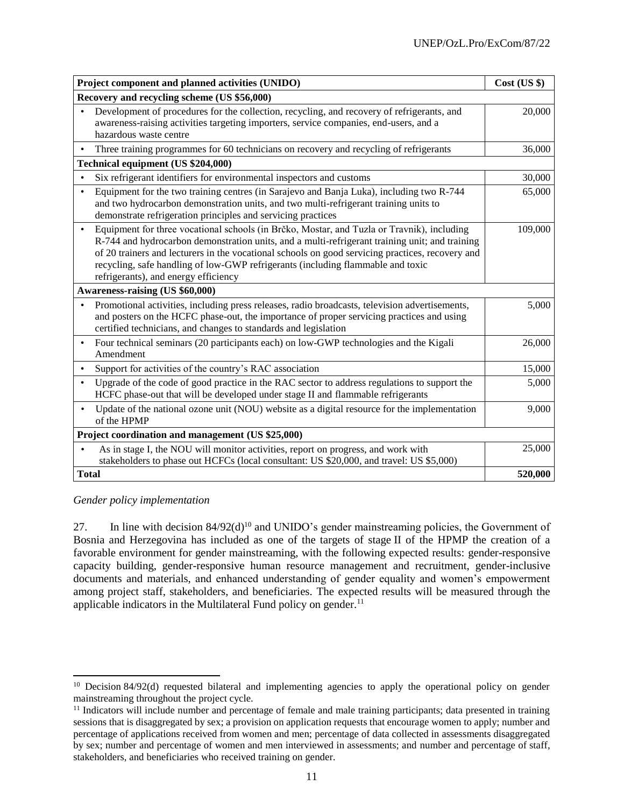| Project component and planned activities (UNIDO)                                                                                                                                                                                                                                                                                                                                                                                         | $Cost$ (US $\})$ |
|------------------------------------------------------------------------------------------------------------------------------------------------------------------------------------------------------------------------------------------------------------------------------------------------------------------------------------------------------------------------------------------------------------------------------------------|------------------|
| Recovery and recycling scheme (US \$56,000)                                                                                                                                                                                                                                                                                                                                                                                              |                  |
| Development of procedures for the collection, recycling, and recovery of refrigerants, and<br>$\bullet$<br>awareness-raising activities targeting importers, service companies, end-users, and a<br>hazardous waste centre                                                                                                                                                                                                               | 20,000           |
| Three training programmes for 60 technicians on recovery and recycling of refrigerants                                                                                                                                                                                                                                                                                                                                                   | 36,000           |
| Technical equipment (US \$204,000)                                                                                                                                                                                                                                                                                                                                                                                                       |                  |
| Six refrigerant identifiers for environmental inspectors and customs<br>$\bullet$                                                                                                                                                                                                                                                                                                                                                        | 30,000           |
| Equipment for the two training centres (in Sarajevo and Banja Luka), including two R-744<br>$\bullet$<br>and two hydrocarbon demonstration units, and two multi-refrigerant training units to<br>demonstrate refrigeration principles and servicing practices                                                                                                                                                                            | 65,000           |
| Equipment for three vocational schools (in Brčko, Mostar, and Tuzla or Travnik), including<br>$\bullet$<br>R-744 and hydrocarbon demonstration units, and a multi-refrigerant training unit; and training<br>of 20 trainers and lecturers in the vocational schools on good servicing practices, recovery and<br>recycling, safe handling of low-GWP refrigerants (including flammable and toxic<br>refrigerants), and energy efficiency | 109,000          |
| Awareness-raising (US \$60,000)                                                                                                                                                                                                                                                                                                                                                                                                          |                  |
| Promotional activities, including press releases, radio broadcasts, television advertisements,<br>$\bullet$<br>and posters on the HCFC phase-out, the importance of proper servicing practices and using<br>certified technicians, and changes to standards and legislation                                                                                                                                                              | 5,000            |
| Four technical seminars (20 participants each) on low-GWP technologies and the Kigali<br>$\bullet$<br>Amendment                                                                                                                                                                                                                                                                                                                          | 26,000           |
| Support for activities of the country's RAC association                                                                                                                                                                                                                                                                                                                                                                                  | 15,000           |
| Upgrade of the code of good practice in the RAC sector to address regulations to support the<br>$\bullet$<br>HCFC phase-out that will be developed under stage II and flammable refrigerants                                                                                                                                                                                                                                             | 5,000            |
| Update of the national ozone unit (NOU) website as a digital resource for the implementation<br>$\bullet$<br>of the HPMP                                                                                                                                                                                                                                                                                                                 | 9,000            |
| Project coordination and management (US \$25,000)                                                                                                                                                                                                                                                                                                                                                                                        |                  |
| As in stage I, the NOU will monitor activities, report on progress, and work with<br>stakeholders to phase out HCFCs (local consultant: US \$20,000, and travel: US \$5,000)                                                                                                                                                                                                                                                             | 25,000           |
| <b>Total</b>                                                                                                                                                                                                                                                                                                                                                                                                                             | 520,000          |

### *Gender policy implementation*

27. In line with decision  $84/92(d)^{10}$  and UNIDO's gender mainstreaming policies, the Government of Bosnia and Herzegovina has included as one of the targets of stage II of the HPMP the creation of a favorable environment for gender mainstreaming, with the following expected results: gender-responsive capacity building, gender-responsive human resource management and recruitment, gender-inclusive documents and materials, and enhanced understanding of gender equality and women's empowerment among project staff, stakeholders, and beneficiaries. The expected results will be measured through the applicable indicators in the Multilateral Fund policy on gender. $<sup>11</sup>$ </sup>

 $\overline{a}$ <sup>10</sup> Decision 84/92(d) requested bilateral and implementing agencies to apply the operational policy on gender mainstreaming throughout the project cycle.

 $<sup>11</sup>$  Indicators will include number and percentage of female and male training participants; data presented in training</sup> sessions that is disaggregated by sex; a provision on application requests that encourage women to apply; number and percentage of applications received from women and men; percentage of data collected in assessments disaggregated by sex; number and percentage of women and men interviewed in assessments; and number and percentage of staff, stakeholders, and beneficiaries who received training on gender.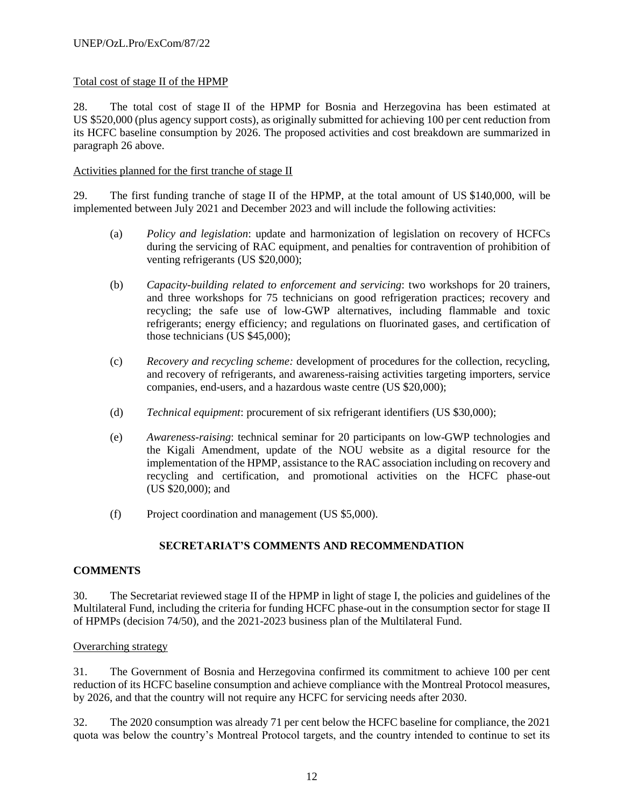# Total cost of stage II of the HPMP

28. The total cost of stage II of the HPMP for Bosnia and Herzegovina has been estimated at US \$520,000 (plus agency support costs), as originally submitted for achieving 100 per cent reduction from its HCFC baseline consumption by 2026. The proposed activities and cost breakdown are summarized in paragraph 26 above.

### Activities planned for the first tranche of stage II

29. The first funding tranche of stage II of the HPMP, at the total amount of US \$140,000, will be implemented between July 2021 and December 2023 and will include the following activities:

- (a) *Policy and legislation*: update and harmonization of legislation on recovery of HCFCs during the servicing of RAC equipment, and penalties for contravention of prohibition of venting refrigerants (US \$20,000);
- (b) *Capacity-building related to enforcement and servicing*: two workshops for 20 trainers, and three workshops for 75 technicians on good refrigeration practices; recovery and recycling; the safe use of low-GWP alternatives, including flammable and toxic refrigerants; energy efficiency; and regulations on fluorinated gases, and certification of those technicians (US \$45,000);
- (c) *Recovery and recycling scheme:* development of procedures for the collection, recycling, and recovery of refrigerants, and awareness-raising activities targeting importers, service companies, end-users, and a hazardous waste centre (US \$20,000);
- (d) *Technical equipment*: procurement of six refrigerant identifiers (US \$30,000);
- (e) *Awareness-raising*: technical seminar for 20 participants on low-GWP technologies and the Kigali Amendment, update of the NOU website as a digital resource for the implementation of the HPMP, assistance to the RAC association including on recovery and recycling and certification, and promotional activities on the HCFC phase-out (US \$20,000); and
- (f) Project coordination and management (US \$5,000).

# **SECRETARIAT'S COMMENTS AND RECOMMENDATION**

# **COMMENTS**

30. The Secretariat reviewed stage II of the HPMP in light of stage I, the policies and guidelines of the Multilateral Fund, including the criteria for funding HCFC phase-out in the consumption sector for stage II of HPMPs (decision 74/50), and the 2021-2023 business plan of the Multilateral Fund.

### Overarching strategy

31. The Government of Bosnia and Herzegovina confirmed its commitment to achieve 100 per cent reduction of its HCFC baseline consumption and achieve compliance with the Montreal Protocol measures, by 2026, and that the country will not require any HCFC for servicing needs after 2030.

32. The 2020 consumption was already 71 per cent below the HCFC baseline for compliance, the 2021 quota was below the country's Montreal Protocol targets, and the country intended to continue to set its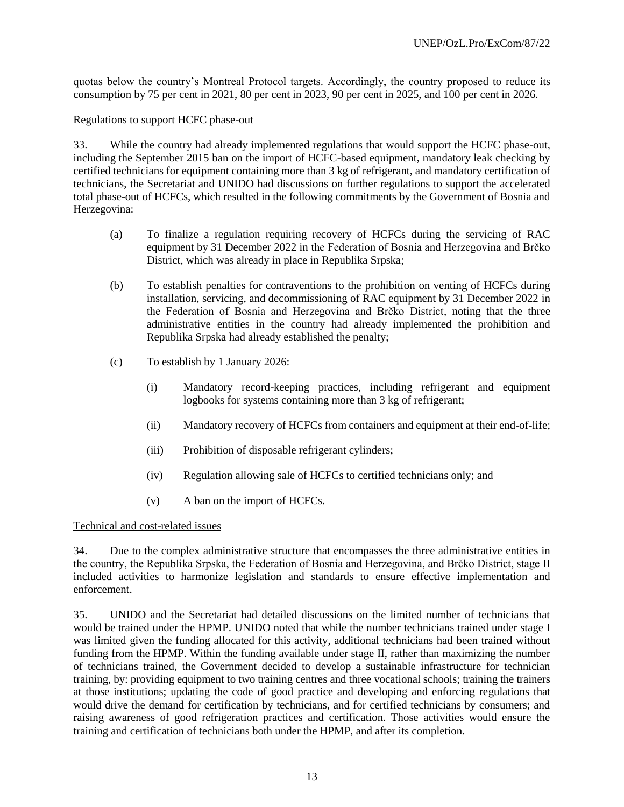quotas below the country's Montreal Protocol targets. Accordingly, the country proposed to reduce its consumption by 75 per cent in 2021, 80 per cent in 2023, 90 per cent in 2025, and 100 per cent in 2026.

#### Regulations to support HCFC phase-out

33. While the country had already implemented regulations that would support the HCFC phase-out, including the September 2015 ban on the import of HCFC-based equipment, mandatory leak checking by certified technicians for equipment containing more than 3 kg of refrigerant, and mandatory certification of technicians, the Secretariat and UNIDO had discussions on further regulations to support the accelerated total phase-out of HCFCs, which resulted in the following commitments by the Government of Bosnia and Herzegovina:

- (a) To finalize a regulation requiring recovery of HCFCs during the servicing of RAC equipment by 31 December 2022 in the Federation of Bosnia and Herzegovina and Brčko District, which was already in place in Republika Srpska;
- (b) To establish penalties for contraventions to the prohibition on venting of HCFCs during installation, servicing, and decommissioning of RAC equipment by 31 December 2022 in the Federation of Bosnia and Herzegovina and Brčko District, noting that the three administrative entities in the country had already implemented the prohibition and Republika Srpska had already established the penalty;
- (c) To establish by 1 January 2026:
	- (i) Mandatory record-keeping practices, including refrigerant and equipment logbooks for systems containing more than 3 kg of refrigerant;
	- (ii) Mandatory recovery of HCFCs from containers and equipment at their end-of-life;
	- (iii) Prohibition of disposable refrigerant cylinders;
	- (iv) Regulation allowing sale of HCFCs to certified technicians only; and
	- (v) A ban on the import of HCFCs.

### Technical and cost-related issues

34. Due to the complex administrative structure that encompasses the three administrative entities in the country, the Republika Srpska, the Federation of Bosnia and Herzegovina, and Brčko District, stage II included activities to harmonize legislation and standards to ensure effective implementation and enforcement.

35. UNIDO and the Secretariat had detailed discussions on the limited number of technicians that would be trained under the HPMP. UNIDO noted that while the number technicians trained under stage I was limited given the funding allocated for this activity, additional technicians had been trained without funding from the HPMP. Within the funding available under stage II, rather than maximizing the number of technicians trained, the Government decided to develop a sustainable infrastructure for technician training, by: providing equipment to two training centres and three vocational schools; training the trainers at those institutions; updating the code of good practice and developing and enforcing regulations that would drive the demand for certification by technicians, and for certified technicians by consumers; and raising awareness of good refrigeration practices and certification. Those activities would ensure the training and certification of technicians both under the HPMP, and after its completion.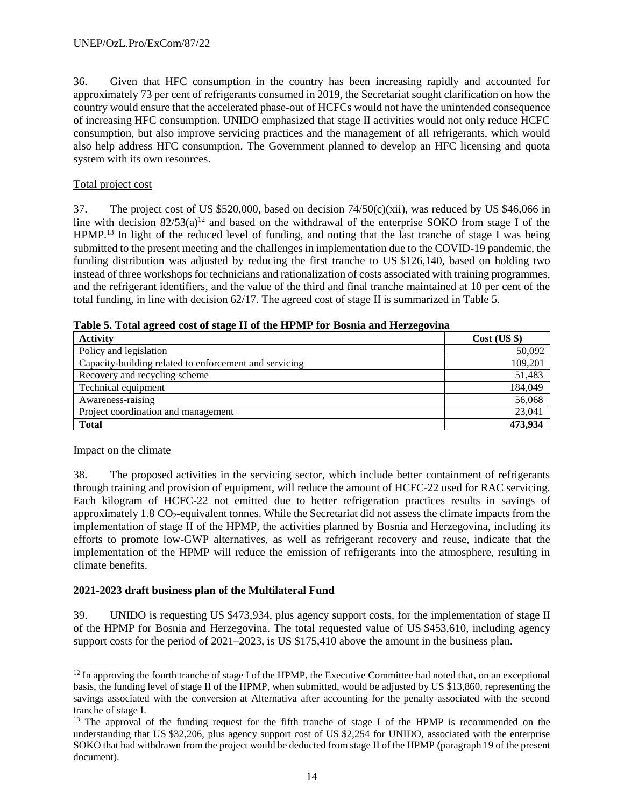36. Given that HFC consumption in the country has been increasing rapidly and accounted for approximately 73 per cent of refrigerants consumed in 2019, the Secretariat sought clarification on how the country would ensure that the accelerated phase-out of HCFCs would not have the unintended consequence of increasing HFC consumption. UNIDO emphasized that stage II activities would not only reduce HCFC consumption, but also improve servicing practices and the management of all refrigerants, which would also help address HFC consumption. The Government planned to develop an HFC licensing and quota system with its own resources.

# Total project cost

37. The project cost of US \$520,000, based on decision 74/50(c)(xii), was reduced by US \$46,066 in line with decision  $82/53(a)^{12}$  and based on the withdrawal of the enterprise SOKO from stage I of the HPMP.<sup>13</sup> In light of the reduced level of funding, and noting that the last tranche of stage I was being submitted to the present meeting and the challenges in implementation due to the COVID-19 pandemic, the funding distribution was adjusted by reducing the first tranche to US \$126,140, based on holding two instead of three workshops for technicians and rationalization of costs associated with training programmes, and the refrigerant identifiers, and the value of the third and final tranche maintained at 10 per cent of the total funding, in line with decision 62/17. The agreed cost of stage II is summarized in Table 5.

| <b>Activity</b>                                        | Cost (US \$) |
|--------------------------------------------------------|--------------|
| Policy and legislation                                 | 50,092       |
| Capacity-building related to enforcement and servicing | 109,201      |
| Recovery and recycling scheme                          | 51,483       |
| Technical equipment                                    | 184,049      |
| Awareness-raising                                      | 56,068       |
| Project coordination and management                    | 23,041       |
| <b>Total</b>                                           | 473,934      |

**Table 5. Total agreed cost of stage II of the HPMP for Bosnia and Herzegovina**

### Impact on the climate

 $\overline{\phantom{a}}$ 

38. The proposed activities in the servicing sector, which include better containment of refrigerants through training and provision of equipment, will reduce the amount of HCFC-22 used for RAC servicing. Each kilogram of HCFC-22 not emitted due to better refrigeration practices results in savings of approximately  $1.8 \text{ CO}_2$ -equivalent tonnes. While the Secretariat did not assess the climate impacts from the implementation of stage II of the HPMP, the activities planned by Bosnia and Herzegovina, including its efforts to promote low-GWP alternatives, as well as refrigerant recovery and reuse, indicate that the implementation of the HPMP will reduce the emission of refrigerants into the atmosphere, resulting in climate benefits.

# **2021-2023 draft business plan of the Multilateral Fund**

39. UNIDO is requesting US \$473,934, plus agency support costs, for the implementation of stage II of the HPMP for Bosnia and Herzegovina. The total requested value of US \$453,610, including agency support costs for the period of 2021–2023, is US \$175,410 above the amount in the business plan.

 $12$  In approving the fourth tranche of stage I of the HPMP, the Executive Committee had noted that, on an exceptional basis, the funding level of stage II of the HPMP, when submitted, would be adjusted by US \$13,860, representing the savings associated with the conversion at Alternativa after accounting for the penalty associated with the second tranche of stage I.

<sup>&</sup>lt;sup>13</sup> The approval of the funding request for the fifth tranche of stage I of the HPMP is recommended on the understanding that US \$32,206, plus agency support cost of US \$2,254 for UNIDO, associated with the enterprise SOKO that had withdrawn from the project would be deducted from stage II of the HPMP (paragraph 19 of the present document).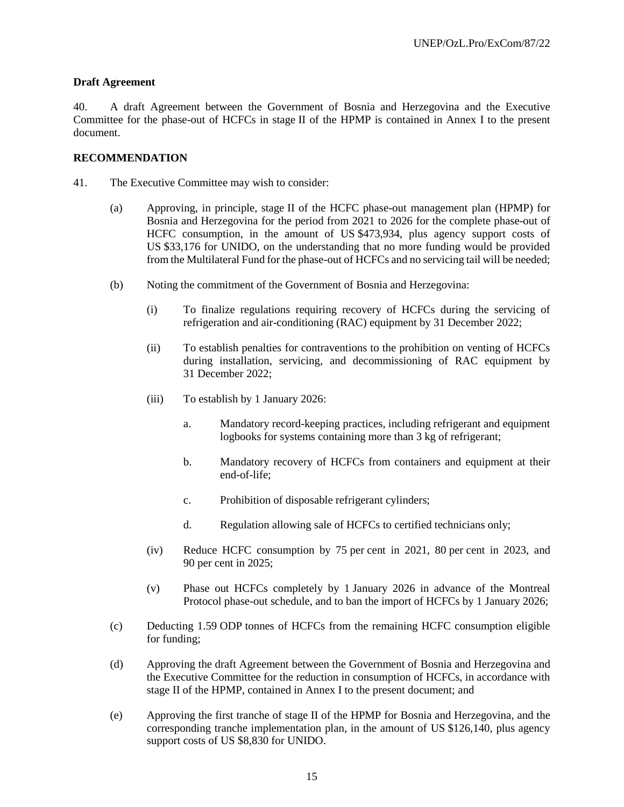### **Draft Agreement**

40. A draft Agreement between the Government of Bosnia and Herzegovina and the Executive Committee for the phase-out of HCFCs in stage II of the HPMP is contained in Annex I to the present document.

### **RECOMMENDATION**

- 41. The Executive Committee may wish to consider:
	- (a) Approving, in principle, stage II of the HCFC phase-out management plan (HPMP) for Bosnia and Herzegovina for the period from 2021 to 2026 for the complete phase-out of HCFC consumption, in the amount of US \$473,934, plus agency support costs of US \$33,176 for UNIDO, on the understanding that no more funding would be provided from the Multilateral Fund for the phase-out of HCFCs and no servicing tail will be needed;
	- (b) Noting the commitment of the Government of Bosnia and Herzegovina:
		- (i) To finalize regulations requiring recovery of HCFCs during the servicing of refrigeration and air-conditioning (RAC) equipment by 31 December 2022;
		- (ii) To establish penalties for contraventions to the prohibition on venting of HCFCs during installation, servicing, and decommissioning of RAC equipment by 31 December 2022;
		- (iii) To establish by 1 January 2026:
			- a. Mandatory record-keeping practices, including refrigerant and equipment logbooks for systems containing more than 3 kg of refrigerant;
			- b. Mandatory recovery of HCFCs from containers and equipment at their end-of-life;
			- c. Prohibition of disposable refrigerant cylinders;
			- d. Regulation allowing sale of HCFCs to certified technicians only;
		- (iv) Reduce HCFC consumption by 75 per cent in 2021, 80 per cent in 2023, and 90 per cent in 2025;
		- (v) Phase out HCFCs completely by 1 January 2026 in advance of the Montreal Protocol phase-out schedule, and to ban the import of HCFCs by 1 January 2026;
	- (c) Deducting 1.59 ODP tonnes of HCFCs from the remaining HCFC consumption eligible for funding;
	- (d) Approving the draft Agreement between the Government of Bosnia and Herzegovina and the Executive Committee for the reduction in consumption of HCFCs, in accordance with stage II of the HPMP, contained in Annex I to the present document; and
	- (e) Approving the first tranche of stage II of the HPMP for Bosnia and Herzegovina, and the corresponding tranche implementation plan, in the amount of US \$126,140, plus agency support costs of US \$8,830 for UNIDO.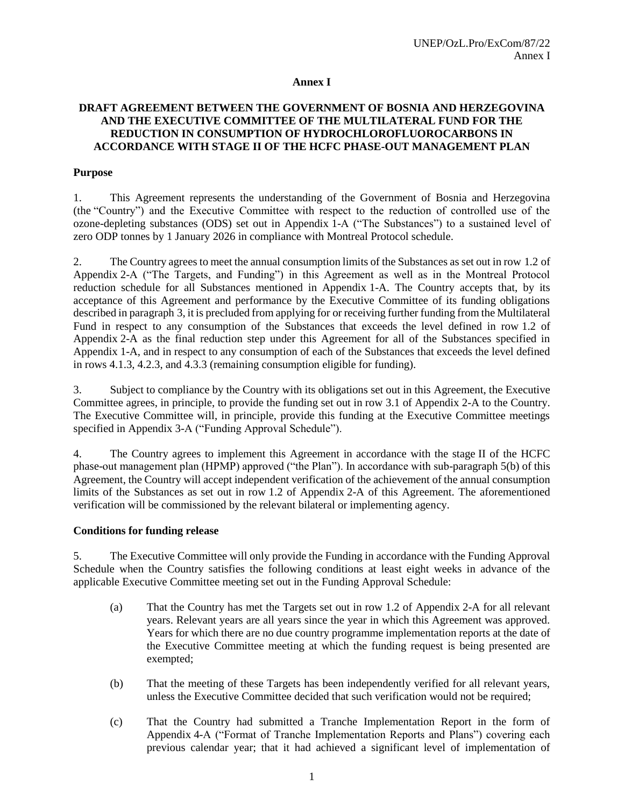#### **Annex I**

### **DRAFT AGREEMENT BETWEEN THE GOVERNMENT OF BOSNIA AND HERZEGOVINA AND THE EXECUTIVE COMMITTEE OF THE MULTILATERAL FUND FOR THE REDUCTION IN CONSUMPTION OF HYDROCHLOROFLUOROCARBONS IN ACCORDANCE WITH STAGE II OF THE HCFC PHASE-OUT MANAGEMENT PLAN**

#### **Purpose**

1. This Agreement represents the understanding of the Government of Bosnia and Herzegovina (the "Country") and the Executive Committee with respect to the reduction of controlled use of the ozone-depleting substances (ODS) set out in Appendix 1-A ("The Substances") to a sustained level of zero ODP tonnes by 1 January 2026 in compliance with Montreal Protocol schedule.

2. The Country agrees to meet the annual consumption limits of the Substances as set out in row 1.2 of Appendix 2-A ("The Targets, and Funding") in this Agreement as well as in the Montreal Protocol reduction schedule for all Substances mentioned in Appendix 1-A. The Country accepts that, by its acceptance of this Agreement and performance by the Executive Committee of its funding obligations described in paragraph 3, it is precluded from applying for or receiving further funding from the Multilateral Fund in respect to any consumption of the Substances that exceeds the level defined in row 1.2 of Appendix 2-A as the final reduction step under this Agreement for all of the Substances specified in Appendix 1-A, and in respect to any consumption of each of the Substances that exceeds the level defined in rows 4.1.3, 4.2.3, and 4.3.3 (remaining consumption eligible for funding).

3. Subject to compliance by the Country with its obligations set out in this Agreement, the Executive Committee agrees, in principle, to provide the funding set out in row 3.1 of Appendix 2-A to the Country. The Executive Committee will, in principle, provide this funding at the Executive Committee meetings specified in Appendix 3-A ("Funding Approval Schedule").

4. The Country agrees to implement this Agreement in accordance with the stage II of the HCFC phase-out management plan (HPMP) approved ("the Plan"). In accordance with sub-paragraph 5(b) of this Agreement, the Country will accept independent verification of the achievement of the annual consumption limits of the Substances as set out in row 1.2 of Appendix 2-A of this Agreement. The aforementioned verification will be commissioned by the relevant bilateral or implementing agency.

#### **Conditions for funding release**

5. The Executive Committee will only provide the Funding in accordance with the Funding Approval Schedule when the Country satisfies the following conditions at least eight weeks in advance of the applicable Executive Committee meeting set out in the Funding Approval Schedule:

- (a) That the Country has met the Targets set out in row 1.2 of Appendix 2-A for all relevant years. Relevant years are all years since the year in which this Agreement was approved. Years for which there are no due country programme implementation reports at the date of the Executive Committee meeting at which the funding request is being presented are exempted;
- (b) That the meeting of these Targets has been independently verified for all relevant years, unless the Executive Committee decided that such verification would not be required;
- (c) That the Country had submitted a Tranche Implementation Report in the form of Appendix 4-A ("Format of Tranche Implementation Reports and Plans") covering each previous calendar year; that it had achieved a significant level of implementation of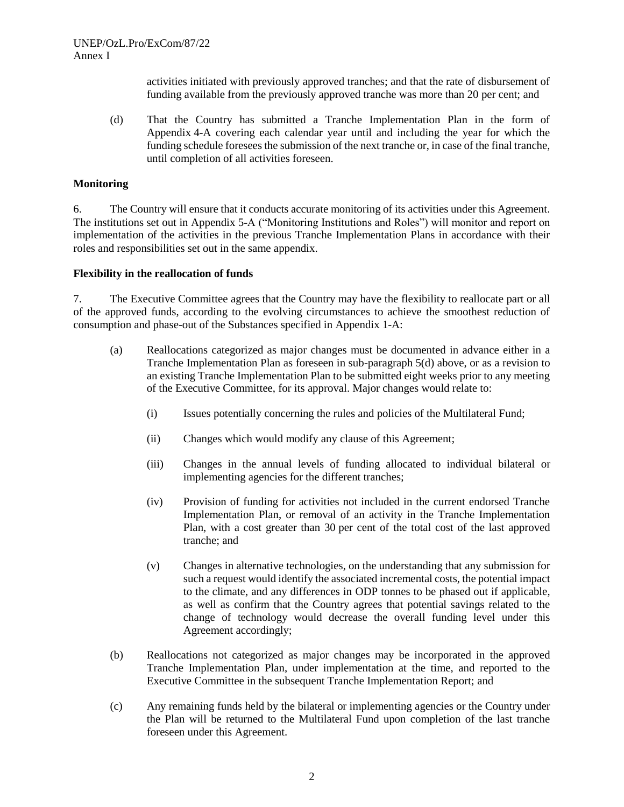activities initiated with previously approved tranches; and that the rate of disbursement of funding available from the previously approved tranche was more than 20 per cent; and

(d) That the Country has submitted a Tranche Implementation Plan in the form of Appendix 4-A covering each calendar year until and including the year for which the funding schedule foresees the submission of the next tranche or, in case of the final tranche, until completion of all activities foreseen.

#### **Monitoring**

6. The Country will ensure that it conducts accurate monitoring of its activities under this Agreement. The institutions set out in Appendix 5-A ("Monitoring Institutions and Roles") will monitor and report on implementation of the activities in the previous Tranche Implementation Plans in accordance with their roles and responsibilities set out in the same appendix.

#### **Flexibility in the reallocation of funds**

7. The Executive Committee agrees that the Country may have the flexibility to reallocate part or all of the approved funds, according to the evolving circumstances to achieve the smoothest reduction of consumption and phase-out of the Substances specified in Appendix 1-A:

- (a) Reallocations categorized as major changes must be documented in advance either in a Tranche Implementation Plan as foreseen in sub-paragraph 5(d) above, or as a revision to an existing Tranche Implementation Plan to be submitted eight weeks prior to any meeting of the Executive Committee, for its approval. Major changes would relate to:
	- (i) Issues potentially concerning the rules and policies of the Multilateral Fund;
	- (ii) Changes which would modify any clause of this Agreement;
	- (iii) Changes in the annual levels of funding allocated to individual bilateral or implementing agencies for the different tranches;
	- (iv) Provision of funding for activities not included in the current endorsed Tranche Implementation Plan, or removal of an activity in the Tranche Implementation Plan, with a cost greater than 30 per cent of the total cost of the last approved tranche; and
	- (v) Changes in alternative technologies, on the understanding that any submission for such a request would identify the associated incremental costs, the potential impact to the climate, and any differences in ODP tonnes to be phased out if applicable, as well as confirm that the Country agrees that potential savings related to the change of technology would decrease the overall funding level under this Agreement accordingly;
- (b) Reallocations not categorized as major changes may be incorporated in the approved Tranche Implementation Plan, under implementation at the time, and reported to the Executive Committee in the subsequent Tranche Implementation Report; and
- (c) Any remaining funds held by the bilateral or implementing agencies or the Country under the Plan will be returned to the Multilateral Fund upon completion of the last tranche foreseen under this Agreement.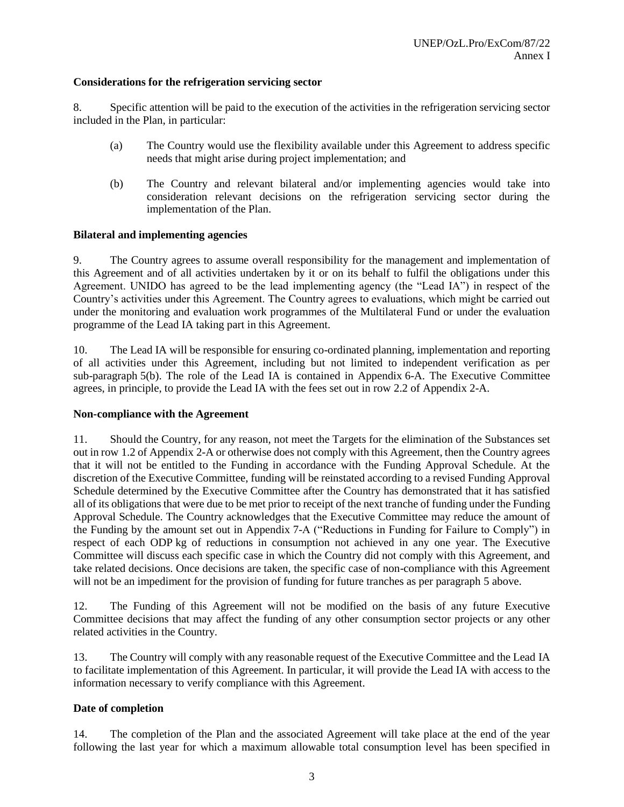### **Considerations for the refrigeration servicing sector**

8. Specific attention will be paid to the execution of the activities in the refrigeration servicing sector included in the Plan, in particular:

- (a) The Country would use the flexibility available under this Agreement to address specific needs that might arise during project implementation; and
- (b) The Country and relevant bilateral and/or implementing agencies would take into consideration relevant decisions on the refrigeration servicing sector during the implementation of the Plan.

### **Bilateral and implementing agencies**

9. The Country agrees to assume overall responsibility for the management and implementation of this Agreement and of all activities undertaken by it or on its behalf to fulfil the obligations under this Agreement. UNIDO has agreed to be the lead implementing agency (the "Lead IA") in respect of the Country's activities under this Agreement. The Country agrees to evaluations, which might be carried out under the monitoring and evaluation work programmes of the Multilateral Fund or under the evaluation programme of the Lead IA taking part in this Agreement.

10. The Lead IA will be responsible for ensuring co-ordinated planning, implementation and reporting of all activities under this Agreement, including but not limited to independent verification as per sub-paragraph 5(b). The role of the Lead IA is contained in Appendix 6-A. The Executive Committee agrees, in principle, to provide the Lead IA with the fees set out in row 2.2 of Appendix 2-A.

### **Non-compliance with the Agreement**

11. Should the Country, for any reason, not meet the Targets for the elimination of the Substances set out in row 1.2 of Appendix 2-A or otherwise does not comply with this Agreement, then the Country agrees that it will not be entitled to the Funding in accordance with the Funding Approval Schedule. At the discretion of the Executive Committee, funding will be reinstated according to a revised Funding Approval Schedule determined by the Executive Committee after the Country has demonstrated that it has satisfied all of its obligations that were due to be met prior to receipt of the next tranche of funding under the Funding Approval Schedule. The Country acknowledges that the Executive Committee may reduce the amount of the Funding by the amount set out in Appendix 7-A ("Reductions in Funding for Failure to Comply") in respect of each ODP kg of reductions in consumption not achieved in any one year. The Executive Committee will discuss each specific case in which the Country did not comply with this Agreement, and take related decisions. Once decisions are taken, the specific case of non-compliance with this Agreement will not be an impediment for the provision of funding for future tranches as per paragraph 5 above.

12. The Funding of this Agreement will not be modified on the basis of any future Executive Committee decisions that may affect the funding of any other consumption sector projects or any other related activities in the Country.

13. The Country will comply with any reasonable request of the Executive Committee and the Lead IA to facilitate implementation of this Agreement. In particular, it will provide the Lead IA with access to the information necessary to verify compliance with this Agreement.

### **Date of completion**

14. The completion of the Plan and the associated Agreement will take place at the end of the year following the last year for which a maximum allowable total consumption level has been specified in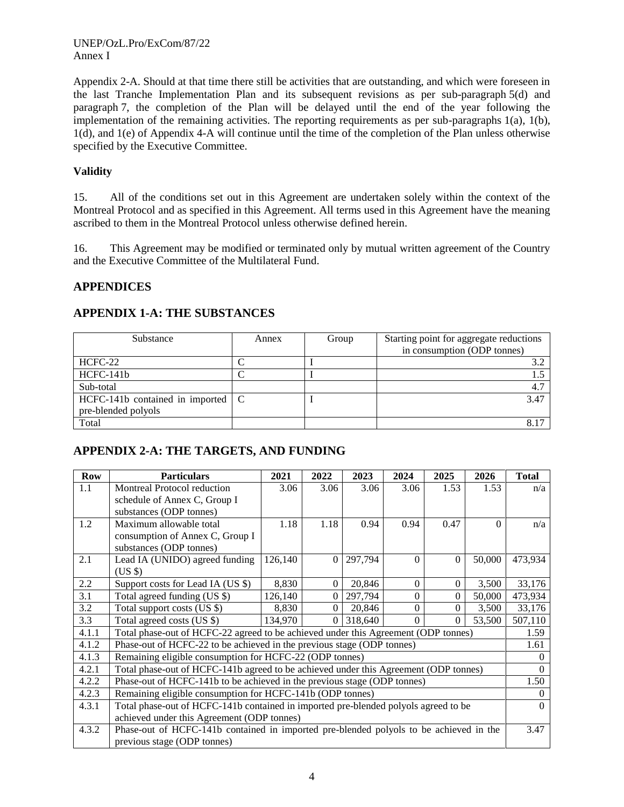Appendix 2-A. Should at that time there still be activities that are outstanding, and which were foreseen in the last Tranche Implementation Plan and its subsequent revisions as per sub-paragraph 5(d) and paragraph 7, the completion of the Plan will be delayed until the end of the year following the implementation of the remaining activities. The reporting requirements as per sub-paragraphs 1(a), 1(b), 1(d), and 1(e) of Appendix 4-A will continue until the time of the completion of the Plan unless otherwise specified by the Executive Committee.

# **Validity**

15. All of the conditions set out in this Agreement are undertaken solely within the context of the Montreal Protocol and as specified in this Agreement. All terms used in this Agreement have the meaning ascribed to them in the Montreal Protocol unless otherwise defined herein.

16. This Agreement may be modified or terminated only by mutual written agreement of the Country and the Executive Committee of the Multilateral Fund.

# **APPENDICES**

| Substance                                | Annex | Group | Starting point for aggregate reductions<br>in consumption (ODP tonnes) |
|------------------------------------------|-------|-------|------------------------------------------------------------------------|
| HCFC-22                                  |       |       | 3.2                                                                    |
| $HCFC-141b$                              |       |       |                                                                        |
| Sub-total                                |       |       | 4.7                                                                    |
| HCFC-141b contained in imported $\mid$ C |       |       | 3.47                                                                   |
| pre-blended polyols                      |       |       |                                                                        |
| Total                                    |       |       |                                                                        |

# **APPENDIX 1-A: THE SUBSTANCES**

# **APPENDIX 2-A: THE TARGETS, AND FUNDING**

| <b>Row</b> | <b>Particulars</b>                                                                     | 2021    | 2022     | 2023    | 2024     | 2025             | 2026     | <b>Total</b> |  |
|------------|----------------------------------------------------------------------------------------|---------|----------|---------|----------|------------------|----------|--------------|--|
| 1.1        | Montreal Protocol reduction                                                            | 3.06    | 3.06     | 3.06    | 3.06     | 1.53             | 1.53     | n/a          |  |
|            | schedule of Annex C, Group I                                                           |         |          |         |          |                  |          |              |  |
|            | substances (ODP tonnes)                                                                |         |          |         |          |                  |          |              |  |
| 1.2        | Maximum allowable total                                                                | 1.18    | 1.18     | 0.94    | 0.94     | 0.47             | $\Omega$ | n/a          |  |
|            | consumption of Annex C, Group I                                                        |         |          |         |          |                  |          |              |  |
|            | substances (ODP tonnes)                                                                |         |          |         |          |                  |          |              |  |
| 2.1        | Lead IA (UNIDO) agreed funding                                                         | 126,140 | $\Omega$ | 297,794 | $\Omega$ | $\Omega$         | 50,000   | 473,934      |  |
|            | $(US \$                                                                                |         |          |         |          |                  |          |              |  |
| 2.2        | Support costs for Lead IA (US \$)                                                      | 8,830   | 0        | 20,846  | $\Omega$ | $\Omega$         | 3,500    | 33,176       |  |
| 3.1        | Total agreed funding (US \$)                                                           | 126,140 | $\Omega$ | 297,794 | $\Omega$ | $\boldsymbol{0}$ | 50,000   | 473,934      |  |
| 3.2        | Total support costs (US \$)                                                            | 8,830   | $\Omega$ | 20,846  | $\Omega$ | $\theta$         | 3,500    | 33,176       |  |
| 3.3        | Total agreed costs (US \$)                                                             | 134,970 | $\Omega$ | 318,640 | $\Omega$ | $\Omega$         | 53,500   | 507,110      |  |
| 4.1.1      | Total phase-out of HCFC-22 agreed to be achieved under this Agreement (ODP tonnes)     |         |          |         |          |                  |          |              |  |
| 4.1.2      | Phase-out of HCFC-22 to be achieved in the previous stage (ODP tonnes)                 |         |          |         |          |                  |          | 1.61         |  |
| 4.1.3      | Remaining eligible consumption for HCFC-22 (ODP tonnes)                                |         |          |         |          |                  |          | $\Omega$     |  |
| 4.2.1      | Total phase-out of HCFC-141b agreed to be achieved under this Agreement (ODP tonnes)   |         |          |         |          |                  |          |              |  |
| 4.2.2      | Phase-out of HCFC-141b to be achieved in the previous stage (ODP tonnes)               |         |          |         |          |                  |          | 1.50         |  |
| 4.2.3      | Remaining eligible consumption for HCFC-141b (ODP tonnes)                              |         |          |         |          |                  |          | $\Omega$     |  |
| 4.3.1      | Total phase-out of HCFC-141b contained in imported pre-blended polyols agreed to be    |         |          |         |          |                  |          | $\Omega$     |  |
|            | achieved under this Agreement (ODP tonnes)                                             |         |          |         |          |                  |          |              |  |
| 4.3.2      | Phase-out of HCFC-141b contained in imported pre-blended polyols to be achieved in the |         |          |         |          |                  |          | 3.47         |  |
|            | previous stage (ODP tonnes)                                                            |         |          |         |          |                  |          |              |  |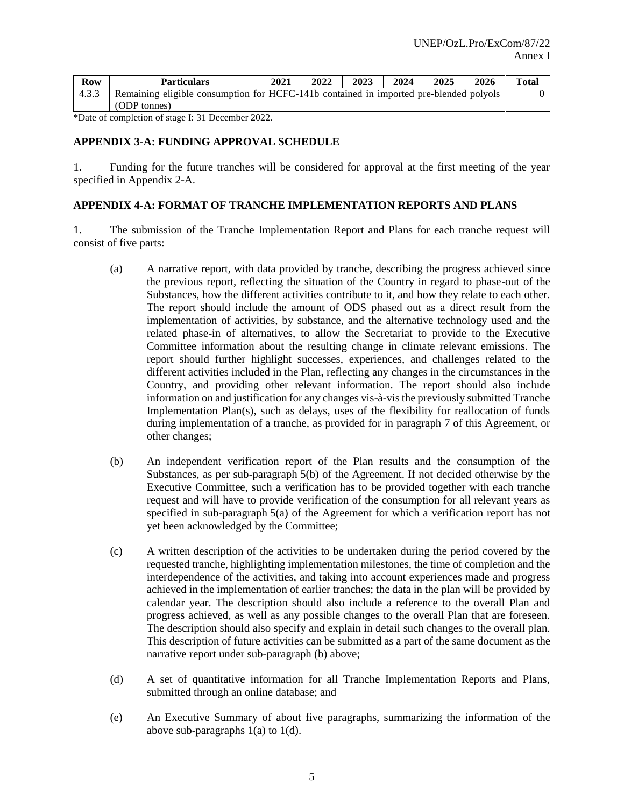| Row   | <b>Particulars</b>                                                                     | 2021 | 2022 | 2023 | 2024 | 2025 | 2026 | <b>Total</b> |
|-------|----------------------------------------------------------------------------------------|------|------|------|------|------|------|--------------|
| 4.3.3 | Remaining eligible consumption for HCFC-141b contained in imported pre-blended polyols |      |      |      |      |      |      |              |
|       | (ODP tonnes)                                                                           |      |      |      |      |      |      |              |

\*Date of completion of stage I: 31 December 2022.

#### **APPENDIX 3-A: FUNDING APPROVAL SCHEDULE**

1. Funding for the future tranches will be considered for approval at the first meeting of the year specified in Appendix 2-A.

### **APPENDIX 4-A: FORMAT OF TRANCHE IMPLEMENTATION REPORTS AND PLANS**

1. The submission of the Tranche Implementation Report and Plans for each tranche request will consist of five parts:

- (a) A narrative report, with data provided by tranche, describing the progress achieved since the previous report, reflecting the situation of the Country in regard to phase-out of the Substances, how the different activities contribute to it, and how they relate to each other. The report should include the amount of ODS phased out as a direct result from the implementation of activities, by substance, and the alternative technology used and the related phase-in of alternatives, to allow the Secretariat to provide to the Executive Committee information about the resulting change in climate relevant emissions. The report should further highlight successes, experiences, and challenges related to the different activities included in the Plan, reflecting any changes in the circumstances in the Country, and providing other relevant information. The report should also include information on and justification for any changes vis-à-vis the previously submitted Tranche Implementation Plan(s), such as delays, uses of the flexibility for reallocation of funds during implementation of a tranche, as provided for in paragraph 7 of this Agreement, or other changes;
- (b) An independent verification report of the Plan results and the consumption of the Substances, as per sub-paragraph 5(b) of the Agreement. If not decided otherwise by the Executive Committee, such a verification has to be provided together with each tranche request and will have to provide verification of the consumption for all relevant years as specified in sub-paragraph 5(a) of the Agreement for which a verification report has not yet been acknowledged by the Committee;
- (c) A written description of the activities to be undertaken during the period covered by the requested tranche, highlighting implementation milestones, the time of completion and the interdependence of the activities, and taking into account experiences made and progress achieved in the implementation of earlier tranches; the data in the plan will be provided by calendar year. The description should also include a reference to the overall Plan and progress achieved, as well as any possible changes to the overall Plan that are foreseen. The description should also specify and explain in detail such changes to the overall plan. This description of future activities can be submitted as a part of the same document as the narrative report under sub-paragraph (b) above;
- (d) A set of quantitative information for all Tranche Implementation Reports and Plans, submitted through an online database; and
- (e) An Executive Summary of about five paragraphs, summarizing the information of the above sub-paragraphs  $1(a)$  to  $1(d)$ .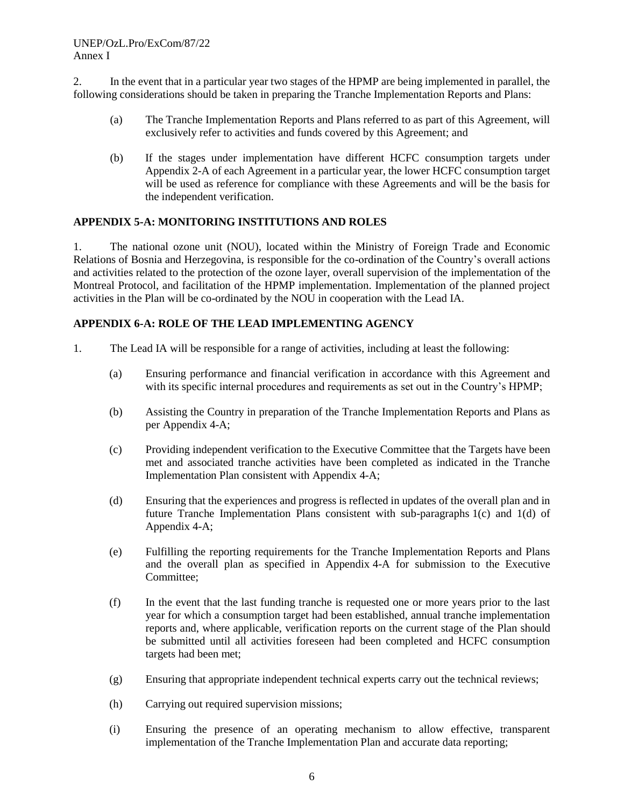2. In the event that in a particular year two stages of the HPMP are being implemented in parallel, the following considerations should be taken in preparing the Tranche Implementation Reports and Plans:

- (a) The Tranche Implementation Reports and Plans referred to as part of this Agreement, will exclusively refer to activities and funds covered by this Agreement; and
- (b) If the stages under implementation have different HCFC consumption targets under Appendix 2-A of each Agreement in a particular year, the lower HCFC consumption target will be used as reference for compliance with these Agreements and will be the basis for the independent verification.

# **APPENDIX 5-A: MONITORING INSTITUTIONS AND ROLES**

1. The national ozone unit (NOU), located within the Ministry of Foreign Trade and Economic Relations of Bosnia and Herzegovina, is responsible for the co-ordination of the Country's overall actions and activities related to the protection of the ozone layer, overall supervision of the implementation of the Montreal Protocol, and facilitation of the HPMP implementation. Implementation of the planned project activities in the Plan will be co-ordinated by the NOU in cooperation with the Lead IA.

### **APPENDIX 6-A: ROLE OF THE LEAD IMPLEMENTING AGENCY**

- 1. The Lead IA will be responsible for a range of activities, including at least the following:
	- (a) Ensuring performance and financial verification in accordance with this Agreement and with its specific internal procedures and requirements as set out in the Country's HPMP;
	- (b) Assisting the Country in preparation of the Tranche Implementation Reports and Plans as per Appendix 4-A;
	- (c) Providing independent verification to the Executive Committee that the Targets have been met and associated tranche activities have been completed as indicated in the Tranche Implementation Plan consistent with Appendix 4-A;
	- (d) Ensuring that the experiences and progress is reflected in updates of the overall plan and in future Tranche Implementation Plans consistent with sub-paragraphs 1(c) and 1(d) of Appendix 4-A;
	- (e) Fulfilling the reporting requirements for the Tranche Implementation Reports and Plans and the overall plan as specified in Appendix 4-A for submission to the Executive Committee;
	- (f) In the event that the last funding tranche is requested one or more years prior to the last year for which a consumption target had been established, annual tranche implementation reports and, where applicable, verification reports on the current stage of the Plan should be submitted until all activities foreseen had been completed and HCFC consumption targets had been met;
	- (g) Ensuring that appropriate independent technical experts carry out the technical reviews;
	- (h) Carrying out required supervision missions;
	- (i) Ensuring the presence of an operating mechanism to allow effective, transparent implementation of the Tranche Implementation Plan and accurate data reporting;